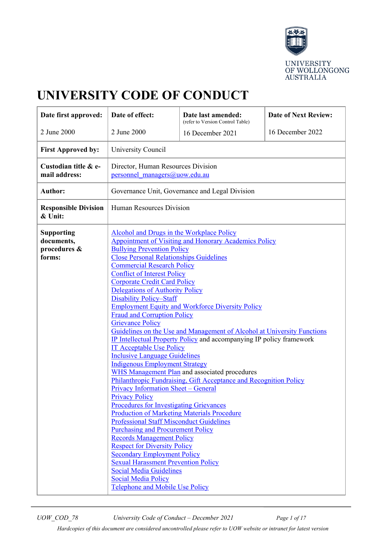

# **UNIVERSITY CODE OF CONDUCT**

| Date first approved:                                      | Date of effect:                                                                                                                                                                                                                                                                                                                                                                                                                                                                                                                                                                                                                                                                                                                                                                                                                                                                                                                                                                                                                                                                                                                                                                                                                                                                                                                                                                                                                                                         | Date last amended:<br>(refer to Version Control Table) | <b>Date of Next Review:</b> |
|-----------------------------------------------------------|-------------------------------------------------------------------------------------------------------------------------------------------------------------------------------------------------------------------------------------------------------------------------------------------------------------------------------------------------------------------------------------------------------------------------------------------------------------------------------------------------------------------------------------------------------------------------------------------------------------------------------------------------------------------------------------------------------------------------------------------------------------------------------------------------------------------------------------------------------------------------------------------------------------------------------------------------------------------------------------------------------------------------------------------------------------------------------------------------------------------------------------------------------------------------------------------------------------------------------------------------------------------------------------------------------------------------------------------------------------------------------------------------------------------------------------------------------------------------|--------------------------------------------------------|-----------------------------|
| 2 June 2000                                               | 2 June 2000                                                                                                                                                                                                                                                                                                                                                                                                                                                                                                                                                                                                                                                                                                                                                                                                                                                                                                                                                                                                                                                                                                                                                                                                                                                                                                                                                                                                                                                             | 16 December 2021                                       | 16 December 2022            |
| <b>First Approved by:</b>                                 | University Council                                                                                                                                                                                                                                                                                                                                                                                                                                                                                                                                                                                                                                                                                                                                                                                                                                                                                                                                                                                                                                                                                                                                                                                                                                                                                                                                                                                                                                                      |                                                        |                             |
| Custodian title & e-<br>mail address:                     | Director, Human Resources Division<br>personnel managers@uow.edu.au                                                                                                                                                                                                                                                                                                                                                                                                                                                                                                                                                                                                                                                                                                                                                                                                                                                                                                                                                                                                                                                                                                                                                                                                                                                                                                                                                                                                     |                                                        |                             |
| <b>Author:</b>                                            | Governance Unit, Governance and Legal Division                                                                                                                                                                                                                                                                                                                                                                                                                                                                                                                                                                                                                                                                                                                                                                                                                                                                                                                                                                                                                                                                                                                                                                                                                                                                                                                                                                                                                          |                                                        |                             |
| <b>Responsible Division</b><br>& Unit:                    | Human Resources Division                                                                                                                                                                                                                                                                                                                                                                                                                                                                                                                                                                                                                                                                                                                                                                                                                                                                                                                                                                                                                                                                                                                                                                                                                                                                                                                                                                                                                                                |                                                        |                             |
| <b>Supporting</b><br>documents,<br>procedures &<br>forms: | Alcohol and Drugs in the Workplace Policy<br><b>Appointment of Visiting and Honorary Academics Policy</b><br><b>Bullying Prevention Policy</b><br><b>Close Personal Relationships Guidelines</b><br><b>Commercial Research Policy</b><br><b>Conflict of Interest Policy</b><br><b>Corporate Credit Card Policy</b><br>Delegations of Authority Policy<br><b>Disability Policy-Staff</b><br><b>Employment Equity and Workforce Diversity Policy</b><br><b>Fraud and Corruption Policy</b><br><b>Grievance Policy</b><br>Guidelines on the Use and Management of Alcohol at University Functions<br><b>IP Intellectual Property Policy and accompanying IP policy framework</b><br><b>IT Acceptable Use Policy</b><br><b>Inclusive Language Guidelines</b><br><b>Indigenous Employment Strategy</b><br>WHS Management Plan and associated procedures<br>Philanthropic Fundraising, Gift Acceptance and Recognition Policy<br><b>Privacy Information Sheet - General</b><br><b>Privacy Policy</b><br><b>Procedures for Investigating Grievances</b><br><b>Production of Marketing Materials Procedure</b><br><b>Professional Staff Misconduct Guidelines</b><br><b>Purchasing and Procurement Policy</b><br><b>Records Management Policy</b><br><b>Respect for Diversity Policy</b><br><b>Secondary Employment Policy</b><br><b>Sexual Harassment Prevention Policy</b><br><b>Social Media Guidelines</b><br><b>Social Media Policy</b><br>Telephone and Mobile Use Policy |                                                        |                             |

*UOW\_COD\_78 University Code of Conduct – December 2021 Page 1 of 17*

*Hardcopies of this document are considered uncontrolled please refer to UOW website or intranet for latest version*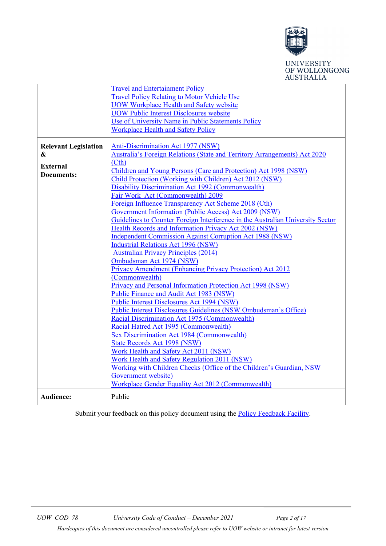

# UNIVERSITY<br>OF WOLLONGONG **AUSTRALIA**

|                             | <b>Travel and Entertainment Policy</b>                                                                |  |  |
|-----------------------------|-------------------------------------------------------------------------------------------------------|--|--|
|                             | <b>Travel Policy Relating to Motor Vehicle Use</b>                                                    |  |  |
|                             | <b>UOW Workplace Health and Safety website</b>                                                        |  |  |
|                             | <b>UOW Public Interest Disclosures website</b>                                                        |  |  |
|                             | Use of University Name in Public Statements Policy                                                    |  |  |
|                             | <b>Workplace Health and Safety Policy</b>                                                             |  |  |
|                             |                                                                                                       |  |  |
| <b>Relevant Legislation</b> | <b>Anti-Discrimination Act 1977 (NSW)</b>                                                             |  |  |
| &                           | Australia's Foreign Relations (State and Territory Arrangements) Act 2020                             |  |  |
|                             | (Cth)                                                                                                 |  |  |
| <b>External</b>             | Children and Young Persons (Care and Protection) Act 1998 (NSW)                                       |  |  |
| Documents:                  | Child Protection (Working with Children) Act 2012 (NSW)                                               |  |  |
|                             | <b>Disability Discrimination Act 1992 (Commonwealth)</b>                                              |  |  |
|                             | Fair Work Act (Commonwealth) 2009                                                                     |  |  |
|                             | Foreign Influence Transparency Act Scheme 2018 (Cth)                                                  |  |  |
|                             | Government Information (Public Access) Act 2009 (NSW)                                                 |  |  |
|                             | Guidelines to Counter Foreign Interference in the Australian University Sector                        |  |  |
|                             | Health Records and Information Privacy Act 2002 (NSW)                                                 |  |  |
|                             | <b>Independent Commission Against Corruption Act 1988 (NSW)</b>                                       |  |  |
|                             |                                                                                                       |  |  |
|                             | <b>Industrial Relations Act 1996 (NSW)</b>                                                            |  |  |
|                             | <b>Australian Privacy Principles (2014)</b>                                                           |  |  |
|                             | Ombudsman Act 1974 (NSW)                                                                              |  |  |
|                             | Privacy Amendment (Enhancing Privacy Protection) Act 2012                                             |  |  |
|                             | (Commonwealth)                                                                                        |  |  |
|                             | Privacy and Personal Information Protection Act 1998 (NSW)<br>Public Finance and Audit Act 1983 (NSW) |  |  |
|                             |                                                                                                       |  |  |
|                             | <b>Public Interest Disclosures Act 1994 (NSW)</b>                                                     |  |  |
|                             | <b>Public Interest Disclosures Guidelines (NSW Ombudsman's Office)</b>                                |  |  |
|                             | Racial Discrimination Act 1975 (Commonwealth)                                                         |  |  |
|                             | Racial Hatred Act 1995 (Commonwealth)                                                                 |  |  |
|                             | Sex Discrimination Act 1984 (Commonwealth)                                                            |  |  |
|                             | <b>State Records Act 1998 (NSW)</b>                                                                   |  |  |
|                             | Work Health and Safety Act 2011 (NSW)                                                                 |  |  |
|                             | Work Health and Safety Regulation 2011 (NSW)                                                          |  |  |
|                             | Working with Children Checks (Office of the Children's Guardian, NSW                                  |  |  |
|                             | Government website)                                                                                   |  |  |
|                             | Workplace Gender Equality Act 2012 (Commonwealth)                                                     |  |  |
| Audience:                   | Public                                                                                                |  |  |

Submit your feedback on this policy document using the [Policy Feedback Facility.](http://www.uow.edu.au/about/policy/feedback/index.html)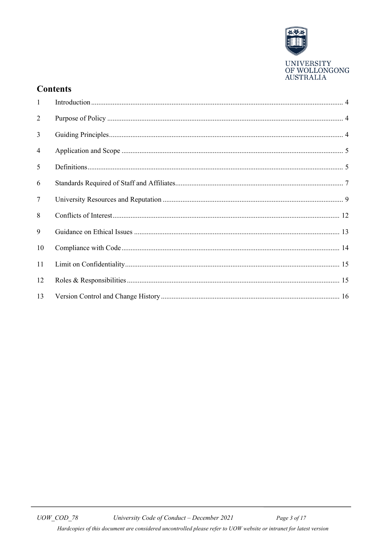

# **Contents**

| $\mathbf{1}$   |  |
|----------------|--|
| 2              |  |
| 3              |  |
| $\overline{4}$ |  |
| 5              |  |
| 6              |  |
| $\tau$         |  |
| 8              |  |
| 9              |  |
| 10             |  |
| 11             |  |
| 12             |  |
| 13             |  |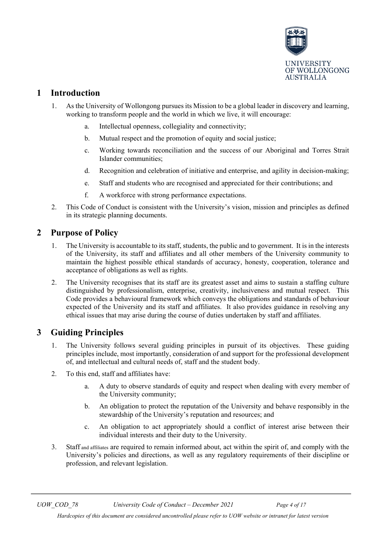

# <span id="page-3-0"></span>**1 Introduction**

- 1. As the University of Wollongong pursues its Mission to be a global leader in discovery and learning, working to transform people and the world in which we live, it will encourage:
	- a. Intellectual openness, collegiality and connectivity;
	- b. Mutual respect and the promotion of equity and social justice;
	- c. Working towards reconciliation and the success of our Aboriginal and Torres Strait Islander communities;
	- d. Recognition and celebration of initiative and enterprise, and agility in decision-making;
	- e. Staff and students who are recognised and appreciated for their contributions; and
	- f. A workforce with strong performance expectations.
- 2. This Code of Conduct is consistent with the University's vision, mission and principles as defined in its strategic planning documents.

# <span id="page-3-1"></span>**2 Purpose of Policy**

- 1. The University is accountable to its staff, students, the public and to government. It is in the interests of the University, its staff and affiliates and all other members of the University community to maintain the highest possible ethical standards of accuracy, honesty, cooperation, tolerance and acceptance of obligations as well as rights.
- 2. The University recognises that its staff are its greatest asset and aims to sustain a staffing culture distinguished by professionalism, enterprise, creativity, inclusiveness and mutual respect. This Code provides a behavioural framework which conveys the obligations and standards of behaviour expected of the University and its staff and affiliates. It also provides guidance in resolving any ethical issues that may arise during the course of duties undertaken by staff and affiliates.

# <span id="page-3-2"></span>**3 Guiding Principles**

- 1. The University follows several guiding principles in pursuit of its objectives. These guiding principles include, most importantly, consideration of and support for the professional development of, and intellectual and cultural needs of, staff and the student body.
- 2. To this end, staff and affiliates have:
	- a. A duty to observe standards of equity and respect when dealing with every member of the University community;
	- b. An obligation to protect the reputation of the University and behave responsibly in the stewardship of the University's reputation and resources; and
	- c. An obligation to act appropriately should a conflict of interest arise between their individual interests and their duty to the University.
- 3. Staff and affiliates are required to remain informed about, act within the spirit of, and comply with the University's policies and directions, as well as any regulatory requirements of their discipline or profession, and relevant legislation.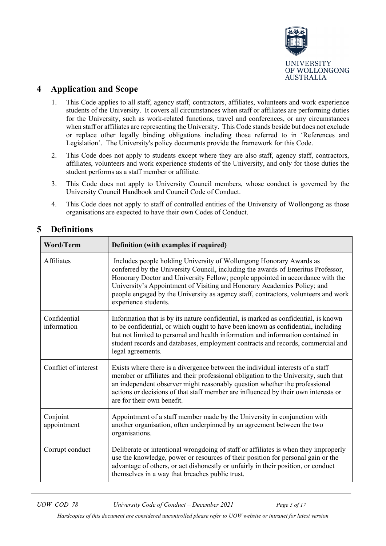

# <span id="page-4-0"></span>**4 Application and Scope**

- 1. This Code applies to all staff, agency staff, contractors, affiliates, volunteers and work experience students of the University. It covers all circumstances when staff or affiliates are performing duties for the University, such as work-related functions, travel and conferences, or any circumstances when staff or affiliates are representing the University. This Code stands beside but does not exclude or replace other legally binding obligations including those referred to in 'References and Legislation'. The University's policy documents provide the framework for this Code.
- 2. This Code does not apply to students except where they are also staff, agency staff, contractors, affiliates, volunteers and work experience students of the University, and only for those duties the student performs as a staff member or affiliate.
- 3. This Code does not apply to University Council members, whose conduct is governed by the University Council Handbook and Council Code of Conduct.
- 4. This Code does not apply to staff of controlled entities of the University of Wollongong as those organisations are expected to have their own Codes of Conduct.

| Word/Term                   | Definition (with examples if required)                                                                                                                                                                                                                                                                                                                                                                                             |
|-----------------------------|------------------------------------------------------------------------------------------------------------------------------------------------------------------------------------------------------------------------------------------------------------------------------------------------------------------------------------------------------------------------------------------------------------------------------------|
| Affiliates                  | Includes people holding University of Wollongong Honorary Awards as<br>conferred by the University Council, including the awards of Emeritus Professor,<br>Honorary Doctor and University Fellow; people appointed in accordance with the<br>University's Appointment of Visiting and Honorary Academics Policy; and<br>people engaged by the University as agency staff, contractors, volunteers and work<br>experience students. |
| Confidential<br>information | Information that is by its nature confidential, is marked as confidential, is known<br>to be confidential, or which ought to have been known as confidential, including<br>but not limited to personal and health information and information contained in<br>student records and databases, employment contracts and records, commercial and<br>legal agreements.                                                                 |
| Conflict of interest        | Exists where there is a divergence between the individual interests of a staff<br>member or affiliates and their professional obligation to the University, such that<br>an independent observer might reasonably question whether the professional<br>actions or decisions of that staff member are influenced by their own interests or<br>are for their own benefit.                                                            |
| Conjoint<br>appointment     | Appointment of a staff member made by the University in conjunction with<br>another organisation, often underpinned by an agreement between the two<br>organisations.                                                                                                                                                                                                                                                              |
| Corrupt conduct             | Deliberate or intentional wrongdoing of staff or affiliates is when they improperly<br>use the knowledge, power or resources of their position for personal gain or the<br>advantage of others, or act dishonestly or unfairly in their position, or conduct<br>themselves in a way that breaches public trust.                                                                                                                    |

# <span id="page-4-1"></span>**5 Definitions**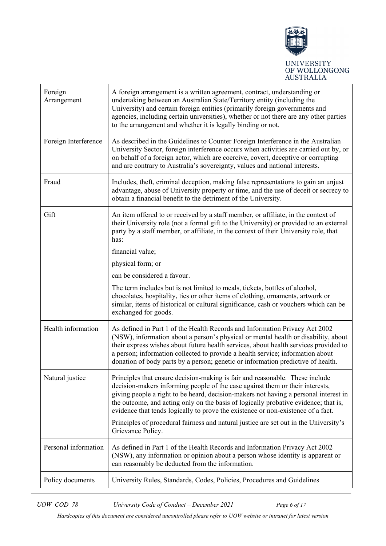

| Foreign<br>Arrangement | A foreign arrangement is a written agreement, contract, understanding or<br>undertaking between an Australian State/Territory entity (including the<br>University) and certain foreign entities (primarily foreign governments and<br>agencies, including certain universities), whether or not there are any other parties<br>to the arrangement and whether it is legally binding or not.                                      |
|------------------------|----------------------------------------------------------------------------------------------------------------------------------------------------------------------------------------------------------------------------------------------------------------------------------------------------------------------------------------------------------------------------------------------------------------------------------|
| Foreign Interference   | As described in the Guidelines to Counter Foreign Interference in the Australian<br>University Sector, foreign interference occurs when activities are carried out by, or<br>on behalf of a foreign actor, which are coercive, covert, deceptive or corrupting<br>and are contrary to Australia's sovereignty, values and national interests.                                                                                    |
| Fraud                  | Includes, theft, criminal deception, making false representations to gain an unjust<br>advantage, abuse of University property or time, and the use of deceit or secrecy to<br>obtain a financial benefit to the detriment of the University.                                                                                                                                                                                    |
| Gift                   | An item offered to or received by a staff member, or affiliate, in the context of<br>their University role (not a formal gift to the University) or provided to an external<br>party by a staff member, or affiliate, in the context of their University role, that<br>has:                                                                                                                                                      |
|                        | financial value;                                                                                                                                                                                                                                                                                                                                                                                                                 |
|                        | physical form; or                                                                                                                                                                                                                                                                                                                                                                                                                |
|                        | can be considered a favour.                                                                                                                                                                                                                                                                                                                                                                                                      |
|                        | The term includes but is not limited to meals, tickets, bottles of alcohol,<br>chocolates, hospitality, ties or other items of clothing, ornaments, artwork or<br>similar, items of historical or cultural significance, cash or vouchers which can be<br>exchanged for goods.                                                                                                                                                   |
| Health information     | As defined in Part 1 of the Health Records and Information Privacy Act 2002<br>(NSW), information about a person's physical or mental health or disability, about<br>their express wishes about future health services, about health services provided to<br>a person; information collected to provide a health service; information about<br>donation of body parts by a person; genetic or information predictive of health.  |
| Natural justice        | Principles that ensure decision-making is fair and reasonable. These include<br>decision-makers informing people of the case against them or their interests,<br>giving people a right to be heard, decision-makers not having a personal interest in<br>the outcome, and acting only on the basis of logically probative evidence; that is,<br>evidence that tends logically to prove the existence or non-existence of a fact. |
|                        | Principles of procedural fairness and natural justice are set out in the University's<br>Grievance Policy.                                                                                                                                                                                                                                                                                                                       |
| Personal information   | As defined in Part 1 of the Health Records and Information Privacy Act 2002<br>(NSW), any information or opinion about a person whose identity is apparent or<br>can reasonably be deducted from the information.                                                                                                                                                                                                                |
| Policy documents       | University Rules, Standards, Codes, Policies, Procedures and Guidelines                                                                                                                                                                                                                                                                                                                                                          |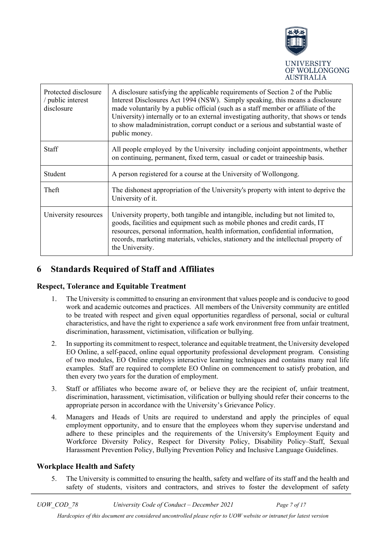

| Protected disclosure<br>/ public interest<br>disclosure | A disclosure satisfying the applicable requirements of Section 2 of the Public<br>Interest Disclosures Act 1994 (NSW). Simply speaking, this means a disclosure<br>made voluntarily by a public official (such as a staff member or affiliate of the<br>University) internally or to an external investigating authority, that shows or tends<br>to show maladministration, corrupt conduct or a serious and substantial waste of<br>public money. |
|---------------------------------------------------------|----------------------------------------------------------------------------------------------------------------------------------------------------------------------------------------------------------------------------------------------------------------------------------------------------------------------------------------------------------------------------------------------------------------------------------------------------|
| <b>Staff</b>                                            | All people employed by the University including conjoint appointments, whether<br>on continuing, permanent, fixed term, casual or cadet or traineeship basis.                                                                                                                                                                                                                                                                                      |
| Student                                                 | A person registered for a course at the University of Wollongong.                                                                                                                                                                                                                                                                                                                                                                                  |
| Theft                                                   | The dishonest appropriation of the University's property with intent to deprive the<br>University of it.                                                                                                                                                                                                                                                                                                                                           |
| University resources                                    | University property, both tangible and intangible, including but not limited to,<br>goods, facilities and equipment such as mobile phones and credit cards, IT<br>resources, personal information, health information, confidential information,<br>records, marketing materials, vehicles, stationery and the intellectual property of<br>the University.                                                                                         |

# <span id="page-6-0"></span>**6 Standards Required of Staff and Affiliates**

#### **Respect, Tolerance and Equitable Treatment**

- 1. The University is committed to ensuring an environment that values people and is conducive to good work and academic outcomes and practices. All members of the University community are entitled to be treated with respect and given equal opportunities regardless of personal, social or cultural characteristics, and have the right to experience a safe work environment free from unfair treatment, discrimination, harassment, victimisation, vilification or bullying.
- 2. In supporting its commitment to respect, tolerance and equitable treatment, the University developed EO Online, a self-paced, online equal opportunity professional development program. Consisting of two modules, EO Online employs interactive learning techniques and contains many real life examples. Staff are required to complete EO Online on commencement to satisfy probation, and then every two years for the duration of employment.
- 3. Staff or affiliates who become aware of, or believe they are the recipient of, unfair treatment, discrimination, harassment, victimisation, vilification or bullying should refer their concerns to the appropriate person in accordance with the University's Grievance Policy.
- 4. Managers and Heads of Units are required to understand and apply the principles of equal employment opportunity, and to ensure that the employees whom they supervise understand and adhere to these principles and the requirements of the University's Employment Equity and Workforce Diversity Policy, Respect for Diversity Policy, Disability Policy–Staff, Sexual Harassment Prevention Policy, Bullying Prevention Policy and Inclusive Language Guidelines.

#### **Workplace Health and Safety**

5. The University is committed to ensuring the health, safety and welfare of its staff and the health and safety of students, visitors and contractors, and strives to foster the development of safety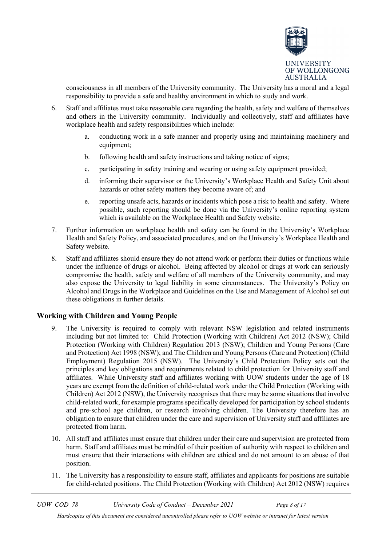

consciousness in all members of the University community. The University has a moral and a legal responsibility to provide a safe and healthy environment in which to study and work.

- 6. Staff and affiliates must take reasonable care regarding the health, safety and welfare of themselves and others in the University community. Individually and collectively, staff and affiliates have workplace health and safety responsibilities which include:
	- a. conducting work in a safe manner and properly using and maintaining machinery and equipment;
	- b. following health and safety instructions and taking notice of signs;
	- c. participating in safety training and wearing or using safety equipment provided;
	- d. informing their supervisor or the University's Workplace Health and Safety Unit about hazards or other safety matters they become aware of; and
	- e. reporting unsafe acts, hazards or incidents which pose a risk to health and safety. Where possible, such reporting should be done via the University's online reporting system which is available on the Workplace Health and Safety website.
- 7. Further information on workplace health and safety can be found in the University's Workplace Health and Safety Policy, and associated procedures, and on the University's Workplace Health and Safety website.
- 8. Staff and affiliates should ensure they do not attend work or perform their duties or functions while under the influence of drugs or alcohol. Being affected by alcohol or drugs at work can seriously compromise the health, safety and welfare of all members of the University community, and may also expose the University to legal liability in some circumstances. The University's Policy on Alcohol and Drugs in the Workplace and Guidelines on the Use and Management of Alcohol set out these obligations in further details.

#### **Working with Children and Young People**

- 9. The University is required to comply with relevant NSW legislation and related instruments including but not limited to: Child Protection (Working with Children) Act 2012 (NSW); Child Protection (Working with Children) Regulation 2013 (NSW); Children and Young Persons (Care and Protection) Act 1998 (NSW); and The Children and Young Persons (Care and Protection) (Child Employment) Regulation 2015 (NSW). The University's Child Protection Policy sets out the principles and key obligations and requirements related to child protection for University staff and affiliates. While University staff and affiliates working with UOW students under the age of 18 years are exempt from the definition of child-related work under the Child Protection (Working with Children) Act 2012 (NSW), the University recognises that there may be some situations that involve child-related work, for example programs specifically developed for participation by school students and pre-school age children, or research involving children. The University therefore has an obligation to ensure that children under the care and supervision of University staff and affiliates are protected from harm.
- 10. All staff and affiliates must ensure that children under their care and supervision are protected from harm. Staff and affiliates must be mindful of their position of authority with respect to children and must ensure that their interactions with children are ethical and do not amount to an abuse of that position.
- 11. The University has a responsibility to ensure staff, affiliates and applicants for positions are suitable for child-related positions. The Child Protection (Working with Children) Act 2012 (NSW) requires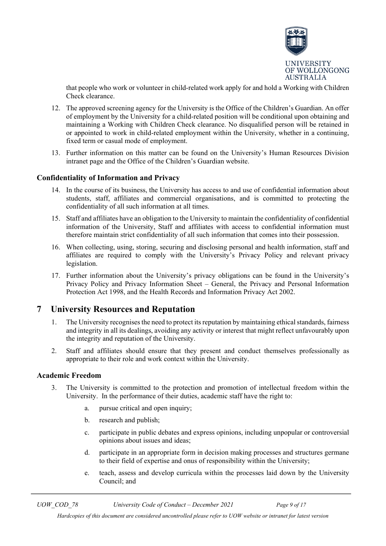

that people who work or volunteer in child-related work apply for and hold a Working with Children Check clearance.

- 12. The approved screening agency for the University is the Office of the Children's Guardian. An offer of employment by the University for a child-related position will be conditional upon obtaining and maintaining a Working with Children Check clearance. No disqualified person will be retained in or appointed to work in child-related employment within the University, whether in a continuing, fixed term or casual mode of employment.
- 13. Further information on this matter can be found on the University's Human Resources Division intranet page and the Office of the Children's Guardian website.

#### **Confidentiality of Information and Privacy**

- 14. In the course of its business, the University has access to and use of confidential information about students, staff, affiliates and commercial organisations, and is committed to protecting the confidentiality of all such information at all times.
- 15. Staff and affiliates have an obligation to the University to maintain the confidentiality of confidential information of the University, Staff and affiliates with access to confidential information must therefore maintain strict confidentiality of all such information that comes into their possession.
- 16. When collecting, using, storing, securing and disclosing personal and health information, staff and affiliates are required to comply with the University's Privacy Policy and relevant privacy legislation.
- 17. Further information about the University's privacy obligations can be found in the University's Privacy Policy and Privacy Information Sheet – General, the Privacy and Personal Information Protection Act 1998, and the Health Records and Information Privacy Act 2002.

### <span id="page-8-0"></span>**7 University Resources and Reputation**

- 1. The University recognises the need to protect its reputation by maintaining ethical standards, fairness and integrity in all its dealings, avoiding any activity or interest that might reflect unfavourably upon the integrity and reputation of the University.
- 2. Staff and affiliates should ensure that they present and conduct themselves professionally as appropriate to their role and work context within the University.

#### **Academic Freedom**

- 3. The University is committed to the protection and promotion of intellectual freedom within the University. In the performance of their duties, academic staff have the right to:
	- a. pursue critical and open inquiry;
	- b. research and publish;
	- c. participate in public debates and express opinions, including unpopular or controversial opinions about issues and ideas;
	- d. participate in an appropriate form in decision making processes and structures germane to their field of expertise and onus of responsibility within the University;
	- e. teach, assess and develop curricula within the processes laid down by the University Council; and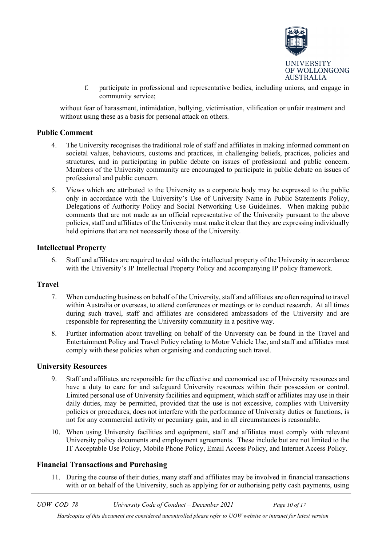

f. participate in professional and representative bodies, including unions, and engage in community service;

without fear of harassment, intimidation, bullying, victimisation, vilification or unfair treatment and without using these as a basis for personal attack on others.

#### **Public Comment**

- 4. The University recognises the traditional role of staff and affiliates in making informed comment on societal values, behaviours, customs and practices, in challenging beliefs, practices, policies and structures, and in participating in public debate on issues of professional and public concern. Members of the University community are encouraged to participate in public debate on issues of professional and public concern.
- 5. Views which are attributed to the University as a corporate body may be expressed to the public only in accordance with the University's Use of University Name in Public Statements Policy, Delegations of Authority Policy and Social Networking Use Guidelines. When making public comments that are not made as an official representative of the University pursuant to the above policies, staff and affiliates of the University must make it clear that they are expressing individually held opinions that are not necessarily those of the University.

#### **Intellectual Property**

6. Staff and affiliates are required to deal with the intellectual property of the University in accordance with the University's IP Intellectual Property Policy and accompanying IP policy framework.

#### **Travel**

- 7. When conducting business on behalf of the University, staff and affiliates are often required to travel within Australia or overseas, to attend conferences or meetings or to conduct research. At all times during such travel, staff and affiliates are considered ambassadors of the University and are responsible for representing the University community in a positive way.
- 8. Further information about travelling on behalf of the University can be found in the Travel and Entertainment Policy and Travel Policy relating to Motor Vehicle Use, and staff and affiliates must comply with these policies when organising and conducting such travel.

#### **University Resources**

- 9. Staff and affiliates are responsible for the effective and economical use of University resources and have a duty to care for and safeguard University resources within their possession or control. Limited personal use of University facilities and equipment, which staff or affiliates may use in their daily duties, may be permitted, provided that the use is not excessive, complies with University policies or procedures, does not interfere with the performance of University duties or functions, is not for any commercial activity or pecuniary gain, and in all circumstances is reasonable.
- 10. When using University facilities and equipment, staff and affiliates must comply with relevant University policy documents and employment agreements. These include but are not limited to the IT Acceptable Use Policy, Mobile Phone Policy, Email Access Policy, and Internet Access Policy.

#### **Financial Transactions and Purchasing**

11. During the course of their duties, many staff and affiliates may be involved in financial transactions with or on behalf of the University, such as applying for or authorising petty cash payments, using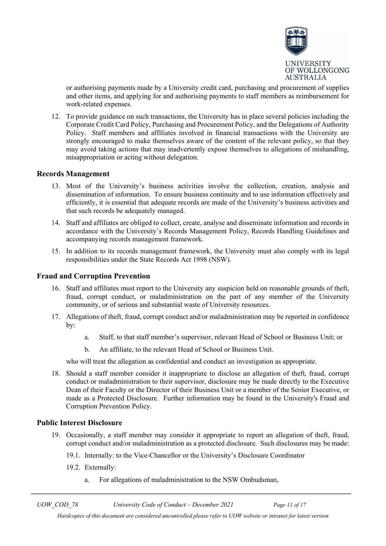

or authorising payments made by a University credit card, purchasing and procurement of supplies and other items, and applying for and authorising payments to staff members as reimbursement for work-related expenses.

12. To provide guidance on such transactions, the University has in place several policies including the Corporate Credit Card Policy, Purchasing and Procurement Policy, and the Delegations of Authority Policy. Staff members and affiliates involved in financial transactions with the University are strongly encouraged to make themselves aware of the content of the relevant policy, so that they may avoid taking actions that may inadvertently expose themselves to allegations of mishandling, misappropriation or acting without delegation.

#### **Records Management**

- 13. Most of the University's business activities involve the collection, creation, analysis and dissemination of information. To ensure business continuity and to use information effectively and efficiently, it is essential that adequate records are made of the University's business activities and that such records be adequately managed.
- 14. Staff and affiliates are obliged to collect, create, analyse and disseminate information and records in accordance with the University's Records Management Policy, Records Handling Guidelines and accompanying records management framework.
- 15. In addition to its records management framework, the University must also comply with its legal responsibilities under the State Records Act 1998 (NSW).

#### **Fraud and Corruption Prevention**

- 16. Staff and affiliates must report to the University any suspicion held on reasonable grounds of theft, fraud, corrupt conduct, or maladministration on the part of any member of the University community, or of serious and substantial waste of University resources.
- 17. Allegations of theft, fraud, corrupt conduct and/or maladministration may be reported in confidence by:
	- a. Staff, to that staff member's supervisor, relevant Head of School or Business Unit; or
	- b. An affiliate, to the relevant Head of School or Business Unit.

who will treat the allegation as confidential and conduct an investigation as appropriate.

18. Should a staff member consider it inappropriate to disclose an allegation of theft, fraud, corrupt conduct or maladministration to their supervisor, disclosure may be made directly to the Executive Dean of their Faculty or the Director of their Business Unit or a member of the Senior Executive, or made as a Protected Disclosure. Further information may be found in the University's Fraud and Corruption Prevention Policy.

#### **Public Interest Disclosure**

- 19. Occasionally, a staff member may consider it appropriate to report an allegation of theft, fraud, corrupt conduct and/or maladministration as a protected disclosure. Such disclosures may be made:
	- 19.1. Internally: to the Vice-Chancellor or the University's Disclosure Coordinator
	- 19.2. Externally:
		- a. For allegations of maladministration to the NSW Ombudsman,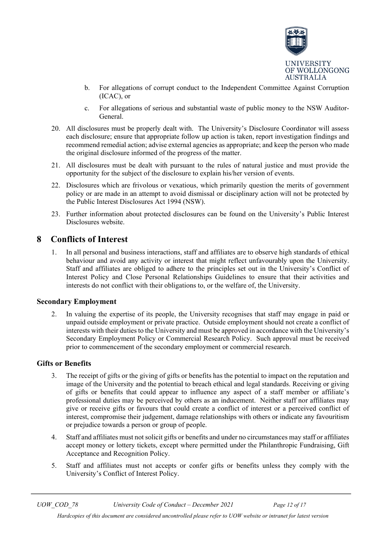

- b. For allegations of corrupt conduct to the Independent Committee Against Corruption (ICAC), or
- c. For allegations of serious and substantial waste of public money to the NSW Auditor-General.
- 20. All disclosures must be properly dealt with. The University's Disclosure Coordinator will assess each disclosure; ensure that appropriate follow up action is taken, report investigation findings and recommend remedial action; advise external agencies as appropriate; and keep the person who made the original disclosure informed of the progress of the matter.
- 21. All disclosures must be dealt with pursuant to the rules of natural justice and must provide the opportunity for the subject of the disclosure to explain his/her version of events.
- 22. Disclosures which are frivolous or vexatious, which primarily question the merits of government policy or are made in an attempt to avoid dismissal or disciplinary action will not be protected by the Public Interest Disclosures Act 1994 (NSW).
- 23. Further information about protected disclosures can be found on the University's Public Interest Disclosures website.

# <span id="page-11-0"></span>**8 Conflicts of Interest**

1. In all personal and business interactions, staff and affiliates are to observe high standards of ethical behaviour and avoid any activity or interest that might reflect unfavourably upon the University. Staff and affiliates are obliged to adhere to the principles set out in the University's Conflict of Interest Policy and Close Personal Relationships Guidelines to ensure that their activities and interests do not conflict with their obligations to, or the welfare of, the University.

#### **Secondary Employment**

2. In valuing the expertise of its people, the University recognises that staff may engage in paid or unpaid outside employment or private practice. Outside employment should not create a conflict of interests with their duties to the University and must be approved in accordance with the University's Secondary Employment Policy or Commercial Research Policy. Such approval must be received prior to commencement of the secondary employment or commercial research.

#### **Gifts or Benefits**

- 3. The receipt of gifts or the giving of gifts or benefits has the potential to impact on the reputation and image of the University and the potential to breach ethical and legal standards. Receiving or giving of gifts or benefits that could appear to influence any aspect of a staff member or affiliate's professional duties may be perceived by others as an inducement. Neither staff nor affiliates may give or receive gifts or favours that could create a conflict of interest or a perceived conflict of interest, compromise their judgement, damage relationships with others or indicate any favouritism or prejudice towards a person or group of people.
- 4. Staff and affiliates must not solicit gifts or benefits and under no circumstances may staff or affiliates accept money or lottery tickets, except where permitted under the Philanthropic Fundraising, Gift Acceptance and Recognition Policy.
- 5. Staff and affiliates must not accepts or confer gifts or benefits unless they comply with the University's Conflict of Interest Policy.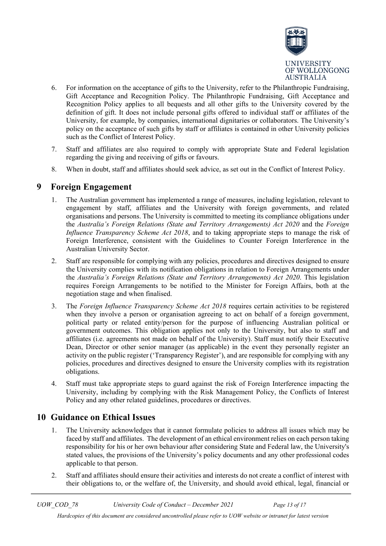

- 6. For information on the acceptance of gifts to the University, refer to the Philanthropic Fundraising, Gift Acceptance and Recognition Policy. The Philanthropic Fundraising, Gift Acceptance and Recognition Policy applies to all bequests and all other gifts to the University covered by the definition of gift. It does not include personal gifts offered to individual staff or affiliates of the University, for example, by companies, international dignitaries or collaborators. The University's policy on the acceptance of such gifts by staff or affiliates is contained in other University policies such as the Conflict of Interest Policy.
- 7. Staff and affiliates are also required to comply with appropriate State and Federal legislation regarding the giving and receiving of gifts or favours.
- 8. When in doubt, staff and affiliates should seek advice, as set out in the Conflict of Interest Policy.

# <span id="page-12-0"></span>**9 Foreign Engagement**

- 1. The Australian government has implemented a range of measures, including legislation, relevant to engagement by staff, affiliates and the University with foreign governments, and related organisations and persons. The University is committed to meeting its compliance obligations under the *Australia's Foreign Relations (State and Territory Arrangements) Act 2020* and the *Foreign Influence Transparency Scheme Act 2018*, and to taking appropriate steps to manage the risk of Foreign Interference, consistent with the Guidelines to Counter Foreign Interference in the Australian University Sector.
- 2. Staff are responsible for complying with any policies, procedures and directives designed to ensure the University complies with its notification obligations in relation to Foreign Arrangements under the *Australia's Foreign Relations (State and Territory Arrangements) Act 2020*. This legislation requires Foreign Arrangements to be notified to the Minister for Foreign Affairs, both at the negotiation stage and when finalised.
- 3. The *Foreign Influence Transparency Scheme Act 2018* requires certain activities to be registered when they involve a person or organisation agreeing to act on behalf of a foreign government, political party or related entity/person for the purpose of influencing Australian political or government outcomes. This obligation applies not only to the University, but also to staff and affiliates (i.e. agreements not made on behalf of the University). Staff must notify their Executive Dean, Director or other senior manager (as applicable) in the event they personally register an activity on the public register ('Transparency Register'), and are responsible for complying with any policies, procedures and directives designed to ensure the University complies with its registration obligations.
- 4. Staff must take appropriate steps to guard against the risk of Foreign Interference impacting the University, including by complying with the Risk Management Policy, the Conflicts of Interest Policy and any other related guidelines, procedures or directives.

# **10 Guidance on Ethical Issues**

- 1. The University acknowledges that it cannot formulate policies to address all issues which may be faced by staff and affiliates. The development of an ethical environment relies on each person taking responsibility for his or her own behaviour after considering State and Federal law, the University's stated values, the provisions of the University's policy documents and any other professional codes applicable to that person.
- 2. Staff and affiliates should ensure their activities and interests do not create a conflict of interest with their obligations to, or the welfare of, the University, and should avoid ethical, legal, financial or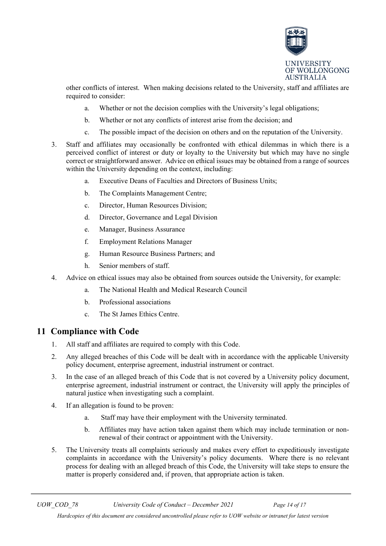

other conflicts of interest. When making decisions related to the University, staff and affiliates are required to consider:

- a. Whether or not the decision complies with the University's legal obligations;
- b. Whether or not any conflicts of interest arise from the decision; and
- c. The possible impact of the decision on others and on the reputation of the University.
- 3. Staff and affiliates may occasionally be confronted with ethical dilemmas in which there is a perceived conflict of interest or duty or loyalty to the University but which may have no single correct or straightforward answer. Advice on ethical issues may be obtained from a range of sources within the University depending on the context, including:
	- a. Executive Deans of Faculties and Directors of Business Units;
	- b. The Complaints Management Centre;
	- c. Director, Human Resources Division;
	- d. Director, Governance and Legal Division
	- e. Manager, Business Assurance
	- f. Employment Relations Manager
	- g. Human Resource Business Partners; and
	- h. Senior members of staff.
- 4. Advice on ethical issues may also be obtained from sources outside the University, for example:
	- a. The National Health and Medical Research Council
	- b. Professional associations
	- c. The St James Ethics Centre.

### <span id="page-13-0"></span>**11 Compliance with Code**

- 1. All staff and affiliates are required to comply with this Code.
- 2. Any alleged breaches of this Code will be dealt with in accordance with the applicable University policy document, enterprise agreement, industrial instrument or contract.
- 3. In the case of an alleged breach of this Code that is not covered by a University policy document, enterprise agreement, industrial instrument or contract, the University will apply the principles of natural justice when investigating such a complaint.
- 4. If an allegation is found to be proven:
	- a. Staff may have their employment with the University terminated.
	- b. Affiliates may have action taken against them which may include termination or nonrenewal of their contract or appointment with the University.
- 5. The University treats all complaints seriously and makes every effort to expeditiously investigate complaints in accordance with the University's policy documents. Where there is no relevant process for dealing with an alleged breach of this Code, the University will take steps to ensure the matter is properly considered and, if proven, that appropriate action is taken.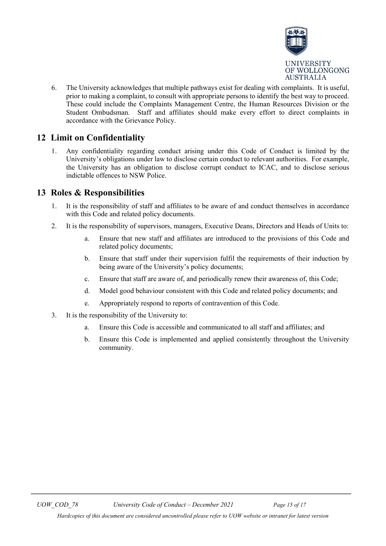

6. The University acknowledges that multiple pathways exist for dealing with complaints. It is useful, prior to making a complaint, to consult with appropriate persons to identify the best way to proceed. These could include the Complaints Management Centre, the Human Resources Division or the Student Ombudsman. Staff and affiliates should make every effort to direct complaints in accordance with the Grievance Policy.

# <span id="page-14-0"></span>**12 Limit on Confidentiality**

1. Any confidentiality regarding conduct arising under this Code of Conduct is limited by the University's obligations under law to disclose certain conduct to relevant authorities. For example, the University has an obligation to disclose corrupt conduct to ICAC, and to disclose serious indictable offences to NSW Police.

# <span id="page-14-1"></span>**13 Roles & Responsibilities**

- 1. It is the responsibility of staff and affiliates to be aware of and conduct themselves in accordance with this Code and related policy documents.
- 2. It is the responsibility of supervisors, managers, Executive Deans, Directors and Heads of Units to:
	- a. Ensure that new staff and affiliates are introduced to the provisions of this Code and related policy documents;
	- b. Ensure that staff under their supervision fulfil the requirements of their induction by being aware of the University's policy documents;
	- c. Ensure that staff are aware of, and periodically renew their awareness of, this Code;
	- d. Model good behaviour consistent with this Code and related policy documents; and
	- e. Appropriately respond to reports of contravention of this Code.
- 3. It is the responsibility of the University to:
	- a. Ensure this Code is accessible and communicated to all staff and affiliates; and
	- b. Ensure this Code is implemented and applied consistently throughout the University community.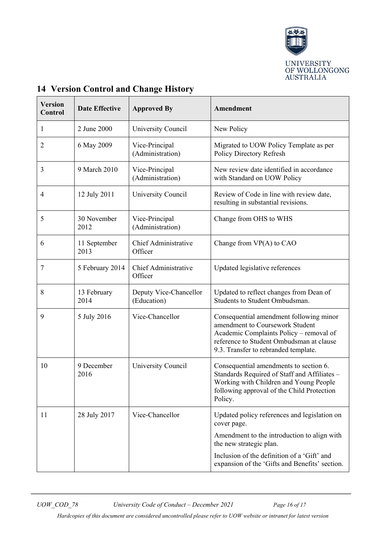

| <b>Version</b><br>Control | <b>Date Effective</b> | <b>Approved By</b>                     | Amendment                                                                                                                                                                                                 |
|---------------------------|-----------------------|----------------------------------------|-----------------------------------------------------------------------------------------------------------------------------------------------------------------------------------------------------------|
| 1                         | 2 June 2000           | University Council                     | New Policy                                                                                                                                                                                                |
| $\overline{2}$            | 6 May 2009            | Vice-Principal<br>(Administration)     | Migrated to UOW Policy Template as per<br>Policy Directory Refresh                                                                                                                                        |
| 3                         | 9 March 2010          | Vice-Principal<br>(Administration)     | New review date identified in accordance<br>with Standard on UOW Policy                                                                                                                                   |
| $\overline{4}$            | 12 July 2011          | University Council                     | Review of Code in line with review date,<br>resulting in substantial revisions.                                                                                                                           |
| 5                         | 30 November<br>2012   | Vice-Principal<br>(Administration)     | Change from OHS to WHS                                                                                                                                                                                    |
| 6                         | 11 September<br>2013  | <b>Chief Administrative</b><br>Officer | Change from $VP(A)$ to $CAO$                                                                                                                                                                              |
| 7                         | 5 February 2014       | Chief Administrative<br>Officer        | Updated legislative references                                                                                                                                                                            |
| 8                         | 13 February<br>2014   | Deputy Vice-Chancellor<br>(Education)  | Updated to reflect changes from Dean of<br>Students to Student Ombudsman.                                                                                                                                 |
| 9                         | 5 July 2016           | Vice-Chancellor                        | Consequential amendment following minor<br>amendment to Coursework Student<br>Academic Complaints Policy - removal of<br>reference to Student Ombudsman at clause<br>9.3. Transfer to rebranded template. |
| 10                        | 9 December<br>2016    | University Council                     | Consequential amendments to section 6.<br>Standards Required of Staff and Affiliates -<br>Working with Children and Young People<br>following approval of the Child Protection<br>Policy.                 |
| 11                        | 28 July 2017          | Vice-Chancellor                        | Updated policy references and legislation on<br>cover page.                                                                                                                                               |
|                           |                       |                                        | Amendment to the introduction to align with<br>the new strategic plan.                                                                                                                                    |
|                           |                       |                                        | Inclusion of the definition of a 'Gift' and<br>expansion of the 'Gifts and Benefits' section.                                                                                                             |

# <span id="page-15-0"></span>**14 Version Control and Change History**